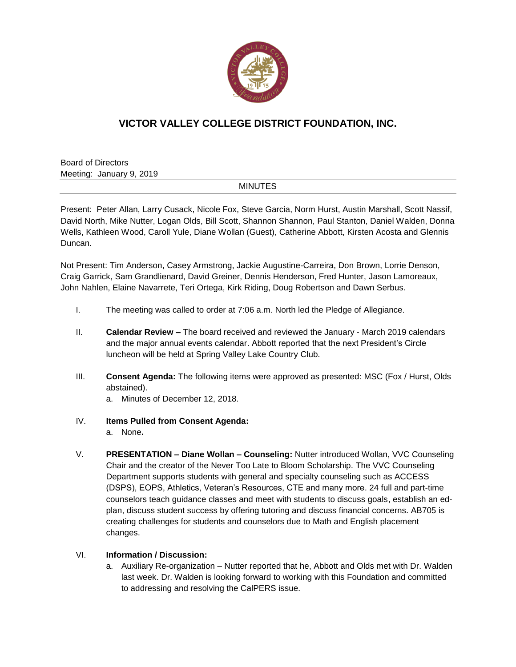

## **VICTOR VALLEY COLLEGE DISTRICT FOUNDATION, INC.**

Board of Directors Meeting: January 9, 2019

## **MINUTES**

Present: Peter Allan, Larry Cusack, Nicole Fox, Steve Garcia, Norm Hurst, Austin Marshall, Scott Nassif, David North, Mike Nutter, Logan Olds, Bill Scott, Shannon Shannon, Paul Stanton, Daniel Walden, Donna Wells, Kathleen Wood, Caroll Yule, Diane Wollan (Guest), Catherine Abbott, Kirsten Acosta and Glennis Duncan.

Not Present: Tim Anderson, Casey Armstrong, Jackie Augustine-Carreira, Don Brown, Lorrie Denson, Craig Garrick, Sam Grandlienard, David Greiner, Dennis Henderson, Fred Hunter, Jason Lamoreaux, John Nahlen, Elaine Navarrete, Teri Ortega, Kirk Riding, Doug Robertson and Dawn Serbus.

- I. The meeting was called to order at 7:06 a.m. North led the Pledge of Allegiance.
- II. **Calendar Review –** The board received and reviewed the January March 2019 calendars and the major annual events calendar. Abbott reported that the next President's Circle luncheon will be held at Spring Valley Lake Country Club.
- III. **Consent Agenda:** The following items were approved as presented: MSC (Fox / Hurst, Olds abstained).

a. Minutes of December 12, 2018.

- IV. **Items Pulled from Consent Agenda:**
	- a. None**.**
- V. **PRESENTATION – Diane Wollan – Counseling:** Nutter introduced Wollan, VVC Counseling Chair and the creator of the Never Too Late to Bloom Scholarship. The VVC Counseling Department supports students with general and specialty counseling such as ACCESS (DSPS), EOPS, Athletics, Veteran's Resources, CTE and many more. 24 full and part-time counselors teach guidance classes and meet with students to discuss goals, establish an edplan, discuss student success by offering tutoring and discuss financial concerns. AB705 is creating challenges for students and counselors due to Math and English placement changes.

## VI. **Information / Discussion:**

a. Auxiliary Re-organization – Nutter reported that he, Abbott and Olds met with Dr. Walden last week. Dr. Walden is looking forward to working with this Foundation and committed to addressing and resolving the CalPERS issue.